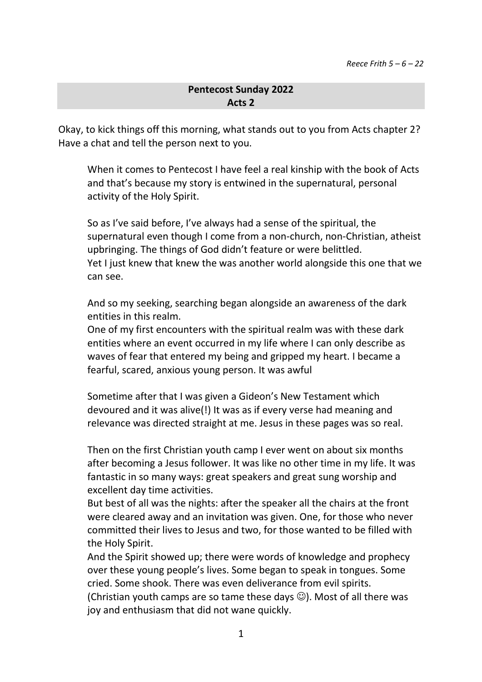## **Pentecost Sunday 2022 Acts 2**

Okay, to kick things off this morning, what stands out to you from Acts chapter 2? Have a chat and tell the person next to you.

When it comes to Pentecost I have feel a real kinship with the book of Acts and that's because my story is entwined in the supernatural, personal activity of the Holy Spirit.

So as I've said before, I've always had a sense of the spiritual, the supernatural even though I come from a non-church, non-Christian, atheist upbringing. The things of God didn't feature or were belittled. Yet I just knew that knew the was another world alongside this one that we can see.

And so my seeking, searching began alongside an awareness of the dark entities in this realm.

One of my first encounters with the spiritual realm was with these dark entities where an event occurred in my life where I can only describe as waves of fear that entered my being and gripped my heart. I became a fearful, scared, anxious young person. It was awful

Sometime after that I was given a Gideon's New Testament which devoured and it was alive(!) It was as if every verse had meaning and relevance was directed straight at me. Jesus in these pages was so real.

Then on the first Christian youth camp I ever went on about six months after becoming a Jesus follower. It was like no other time in my life. It was fantastic in so many ways: great speakers and great sung worship and excellent day time activities.

But best of all was the nights: after the speaker all the chairs at the front were cleared away and an invitation was given. One, for those who never committed their lives to Jesus and two, for those wanted to be filled with the Holy Spirit.

And the Spirit showed up; there were words of knowledge and prophecy over these young people's lives. Some began to speak in tongues. Some cried. Some shook. There was even deliverance from evil spirits. (Christian youth camps are so tame these days  $\circledcirc$ ). Most of all there was joy and enthusiasm that did not wane quickly.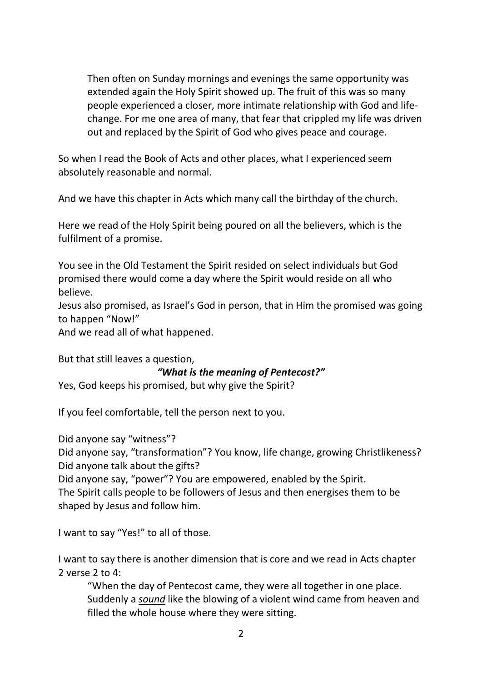Then often on Sunday mornings and evenings the same opportunity was extended again the Holy Spirit showed up. The fruit of this was so many people experienced a closer, more intimate relationship with God and lifechange. For me one area of many, that fear that crippled my life was driven out and replaced by the Spirit of God who gives peace and courage.

So when I read the Book of Acts and other places, what I experienced seem absolutely reasonable and normal.

And we have this chapter in Acts which many call the birthday of the church.

Here we read of the Holy Spirit being poured on all the believers, which is the fulfilment of a promise.

You see in the Old Testament the Spirit resided on select individuals but God promised there would come a day where the Spirit would reside on all who believe.

Jesus also promised, as Israel's God in person, that in Him the promised was going to happen "Now!"

And we read all of what happened.

But that still leaves a question,

*"What is the meaning of Pentecost?"*

Yes, God keeps his promised, but why give the Spirit?

If you feel comfortable, tell the person next to you.

Did anyone say "witness"?

Did anyone say, "transformation"? You know, life change, growing Christlikeness? Did anyone talk about the gifts?

Did anyone say, "power"? You are empowered, enabled by the Spirit. The Spirit calls people to be followers of Jesus and then energises them to be shaped by Jesus and follow him.

I want to say "Yes!" to all of those.

I want to say there is another dimension that is core and we read in Acts chapter 2 verse 2 to 4:

"When the day of Pentecost came, they were all together in one place. Suddenly a *sound* like the blowing of a violent wind came from heaven and filled the whole house where they were sitting.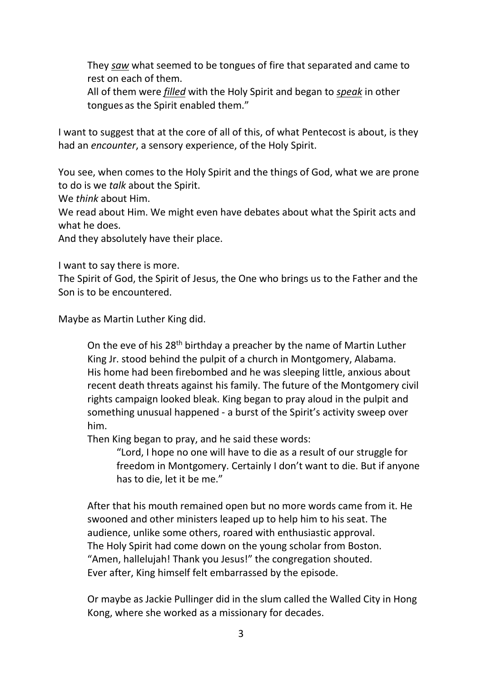They *saw* what seemed to be tongues of fire that separated and came to rest on each of them.

All of them were *filled* with the Holy Spirit and began to *speak* in other tongues as the Spirit enabled them."

I want to suggest that at the core of all of this, of what Pentecost is about, is they had an *encounter*, a sensory experience, of the Holy Spirit.

You see, when comes to the Holy Spirit and the things of God, what we are prone to do is we *talk* about the Spirit.

We *think* about Him.

We read about Him. We might even have debates about what the Spirit acts and what he does.

And they absolutely have their place.

I want to say there is more.

The Spirit of God, the Spirit of Jesus, the One who brings us to the Father and the Son is to be encountered.

Maybe as Martin Luther King did.

On the eve of his 28<sup>th</sup> birthday a preacher by the name of Martin Luther King Jr. stood behind the pulpit of a church in Montgomery, Alabama. His home had been firebombed and he was sleeping little, anxious about recent death threats against his family. The future of the Montgomery civil rights campaign looked bleak. King began to pray aloud in the pulpit and something unusual happened - a burst of the Spirit's activity sweep over him.

Then King began to pray, and he said these words:

"Lord, I hope no one will have to die as a result of our struggle for freedom in Montgomery. Certainly I don't want to die. But if anyone has to die, let it be me."

After that his mouth remained open but no more words came from it. He swooned and other ministers leaped up to help him to his seat. The audience, unlike some others, roared with enthusiastic approval. The Holy Spirit had come down on the young scholar from Boston. "Amen, hallelujah! Thank you Jesus!" the congregation shouted. Ever after, King himself felt embarrassed by the episode.

Or maybe as Jackie Pullinger did in the slum called the Walled City in Hong Kong, where she worked as a missionary for decades.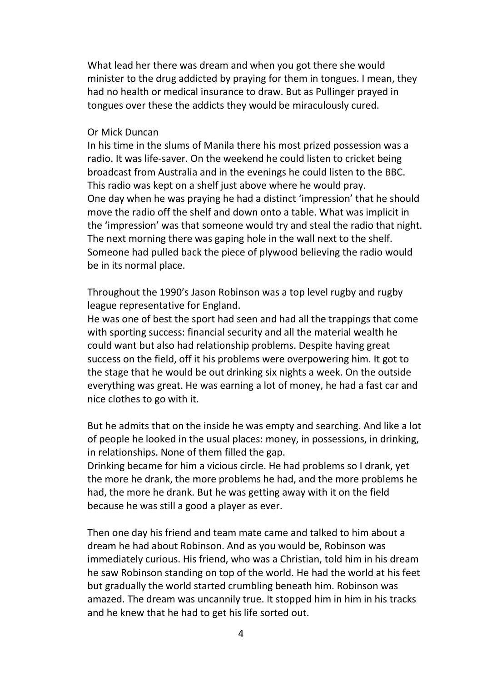What lead her there was dream and when you got there she would minister to the drug addicted by praying for them in tongues. I mean, they had no health or medical insurance to draw. But as Pullinger prayed in tongues over these the addicts they would be miraculously cured.

## Or Mick Duncan

In his time in the slums of Manila there his most prized possession was a radio. It was life-saver. On the weekend he could listen to cricket being broadcast from Australia and in the evenings he could listen to the BBC. This radio was kept on a shelf just above where he would pray. One day when he was praying he had a distinct 'impression' that he should move the radio off the shelf and down onto a table. What was implicit in the 'impression' was that someone would try and steal the radio that night. The next morning there was gaping hole in the wall next to the shelf. Someone had pulled back the piece of plywood believing the radio would be in its normal place.

Throughout the 1990's Jason Robinson was a top level rugby and rugby league representative for England.

He was one of best the sport had seen and had all the trappings that come with sporting success: financial security and all the material wealth he could want but also had relationship problems. Despite having great success on the field, off it his problems were overpowering him. It got to the stage that he would be out drinking six nights a week. On the outside everything was great. He was earning a lot of money, he had a fast car and nice clothes to go with it.

But he admits that on the inside he was empty and searching. And like a lot of people he looked in the usual places: money, in possessions, in drinking, in relationships. None of them filled the gap.

Drinking became for him a vicious circle. He had problems so I drank, yet the more he drank, the more problems he had, and the more problems he had, the more he drank. But he was getting away with it on the field because he was still a good a player as ever.

Then one day his friend and team mate came and talked to him about a dream he had about Robinson. And as you would be, Robinson was immediately curious. His friend, who was a Christian, told him in his dream he saw Robinson standing on top of the world. He had the world at his feet but gradually the world started crumbling beneath him. Robinson was amazed. The dream was uncannily true. It stopped him in him in his tracks and he knew that he had to get his life sorted out.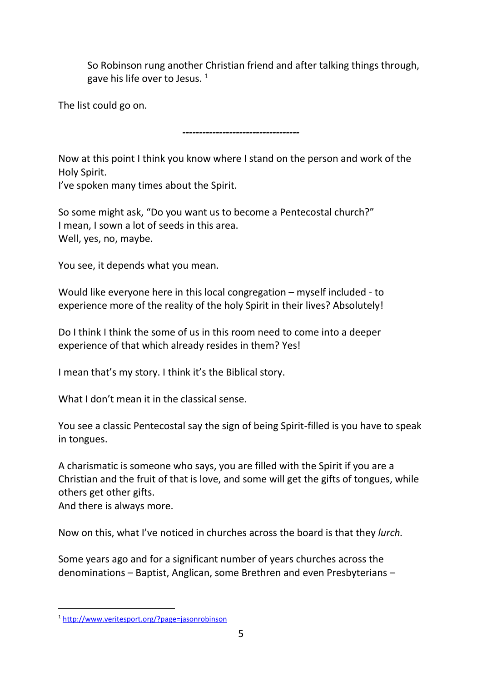So Robinson rung another Christian friend and after talking things through, gave his life over to Jesus.  $1$ 

The list could go on.

*-----------------------------------*

Now at this point I think you know where I stand on the person and work of the Holy Spirit.

I've spoken many times about the Spirit.

So some might ask, "Do you want us to become a Pentecostal church?" I mean, I sown a lot of seeds in this area. Well, yes, no, maybe.

You see, it depends what you mean.

Would like everyone here in this local congregation – myself included - to experience more of the reality of the holy Spirit in their lives? Absolutely!

Do I think I think the some of us in this room need to come into a deeper experience of that which already resides in them? Yes!

I mean that's my story. I think it's the Biblical story.

What I don't mean it in the classical sense.

You see a classic Pentecostal say the sign of being Spirit-filled is you have to speak in tongues.

A charismatic is someone who says, you are filled with the Spirit if you are a Christian and the fruit of that is love, and some will get the gifts of tongues, while others get other gifts.

And there is always more.

-

Now on this, what I've noticed in churches across the board is that they *lurch.*

Some years ago and for a significant number of years churches across the denominations – Baptist, Anglican, some Brethren and even Presbyterians –

<sup>1</sup> <http://www.veritesport.org/?page=jasonrobinson>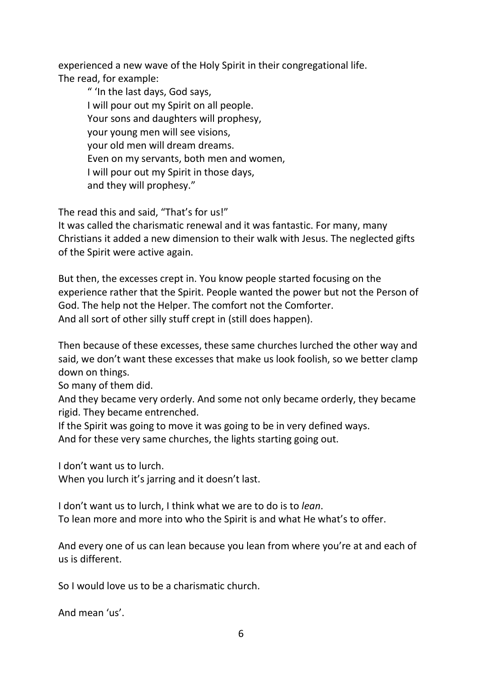experienced a new wave of the Holy Spirit in their congregational life. The read, for example:

" 'In the last days, God says, I will pour out my Spirit on all people. Your sons and daughters will prophesy, your young men will see visions, your old men will dream dreams. Even on my servants, both men and women, I will pour out my Spirit in those days, and they will prophesy."

The read this and said, "That's for us!"

It was called the charismatic renewal and it was fantastic. For many, many Christians it added a new dimension to their walk with Jesus. The neglected gifts of the Spirit were active again.

But then, the excesses crept in. You know people started focusing on the experience rather that the Spirit. People wanted the power but not the Person of God. The help not the Helper. The comfort not the Comforter. And all sort of other silly stuff crept in (still does happen).

Then because of these excesses, these same churches lurched the other way and said, we don't want these excesses that make us look foolish, so we better clamp down on things.

So many of them did.

And they became very orderly. And some not only became orderly, they became rigid. They became entrenched.

If the Spirit was going to move it was going to be in very defined ways.

And for these very same churches, the lights starting going out.

I don't want us to lurch.

When you lurch it's jarring and it doesn't last.

I don't want us to lurch, I think what we are to do is to *lean*. To lean more and more into who the Spirit is and what He what's to offer.

And every one of us can lean because you lean from where you're at and each of us is different.

So I would love us to be a charismatic church.

And mean 'us'.